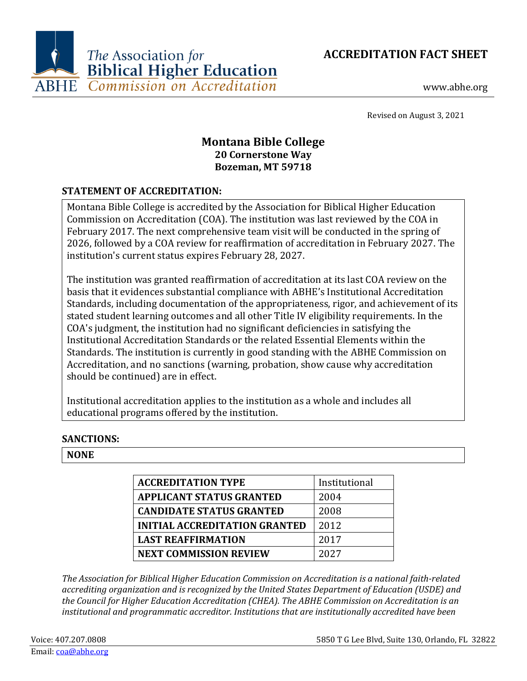**ACCREDITATION FACT SHEET**



www.abhe.org

Revised on August 3, 2021

# **Montana Bible College 20 Cornerstone Way Bozeman, MT 59718**

# **STATEMENT OF ACCREDITATION:**

Montana Bible College is accredited by the Association for Biblical Higher Education Commission on Accreditation (COA). The institution was last reviewed by the COA in February 2017. The next comprehensive team visit will be conducted in the spring of 2026, followed by a COA review for reaffirmation of accreditation in February 2027. The institution's current status expires February 28, 2027.

The institution was granted reaffirmation of accreditation at its last COA review on the basis that it evidences substantial compliance with ABHE's Institutional Accreditation Standards, including documentation of the appropriateness, rigor, and achievement of its stated student learning outcomes and all other Title IV eligibility requirements. In the COA's judgment, the institution had no significant deficiencies in satisfying the Institutional Accreditation Standards or the related Essential Elements within the Standards. The institution is currently in good standing with the ABHE Commission on Accreditation, and no sanctions (warning, probation, show cause why accreditation should be continued) are in effect.

Institutional accreditation applies to the institution as a whole and includes all educational programs offered by the institution.

# **SANCTIONS:**

## **NONE**

| <b>ACCREDITATION TYPE</b>            | Institutional |
|--------------------------------------|---------------|
| <b>APPLICANT STATUS GRANTED</b>      | 2004          |
| <b>CANDIDATE STATUS GRANTED</b>      | 2008          |
| <b>INITIAL ACCREDITATION GRANTED</b> | 2012          |
| <b>LAST REAFFIRMATION</b>            | 2017          |
| <b>NEXT COMMISSION REVIEW</b>        | 2027          |

*The Association for Biblical Higher Education Commission on Accreditation is a national faith-related accrediting organization and is recognized by the United States Department of Education (USDE) and the Council for Higher Education Accreditation (CHEA). The ABHE Commission on Accreditation is an institutional and programmatic accreditor. Institutions that are institutionally accredited have been*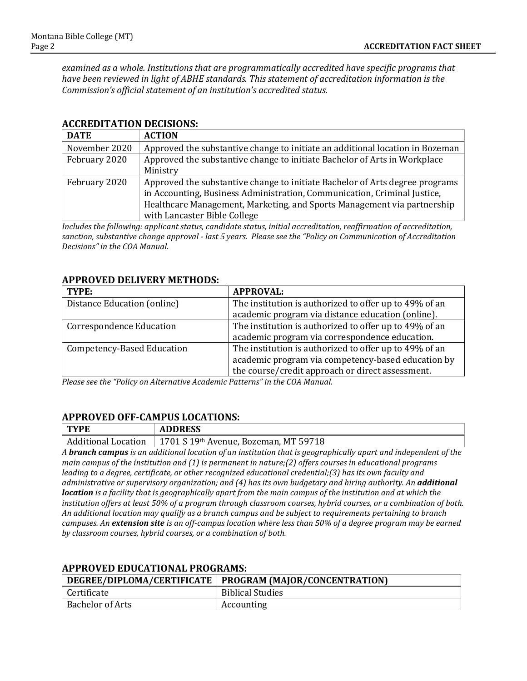*examined as a whole. Institutions that are programmatically accredited have specific programs that have been reviewed in light of ABHE standards. This statement of accreditation information is the Commission's official statement of an institution's accredited status.*

| <b>DATE</b>   | <b>ACTION</b>                                                                                                                                                                                                                                                       |
|---------------|---------------------------------------------------------------------------------------------------------------------------------------------------------------------------------------------------------------------------------------------------------------------|
| November 2020 | Approved the substantive change to initiate an additional location in Bozeman                                                                                                                                                                                       |
| February 2020 | Approved the substantive change to initiate Bachelor of Arts in Workplace<br>Ministry                                                                                                                                                                               |
| February 2020 | Approved the substantive change to initiate Bachelor of Arts degree programs<br>in Accounting, Business Administration, Communication, Criminal Justice,<br>Healthcare Management, Marketing, and Sports Management via partnership<br>with Lancaster Bible College |

#### **ACCREDITATION DECISIONS:**

*Includes the following: applicant status, candidate status, initial accreditation, reaffirmation of accreditation, sanction, substantive change approval - last 5 years. Please see the "Policy on Communication of Accreditation Decisions" in the COA Manual.*

## **APPROVED DELIVERY METHODS:**

| TYPE:                             | <b>APPROVAL:</b>                                       |
|-----------------------------------|--------------------------------------------------------|
| Distance Education (online)       | The institution is authorized to offer up to 49% of an |
|                                   | academic program via distance education (online).      |
| <b>Correspondence Education</b>   | The institution is authorized to offer up to 49% of an |
|                                   | academic program via correspondence education.         |
| <b>Competency-Based Education</b> | The institution is authorized to offer up to 49% of an |
|                                   | academic program via competency-based education by     |
|                                   | the course/credit approach or direct assessment.       |

*Please see the "Policy on Alternative Academic Patterns" in the COA Manual.*

#### **APPROVED OFF-CAMPUS LOCATIONS:**

| <b>TYPE</b>                                                                                                            | <b>ADDRESS</b>                                                                                              |  |
|------------------------------------------------------------------------------------------------------------------------|-------------------------------------------------------------------------------------------------------------|--|
| <b>Additional Location</b>                                                                                             | 1701 S 19th Avenue, Bozeman, MT 59718                                                                       |  |
| A <b>branch campus</b> is an additional location of an institution that is geographically apart and independent of the |                                                                                                             |  |
|                                                                                                                        | main campus of the institution and $(1)$ is permanent in nature; (2) offers courses in educational programs |  |
|                                                                                                                        | leading to a degree, certificate, or other recognized educational credential;(3) has its own faculty and    |  |
| administrative or supervisory organization; and (4) has its own budgetary and hiring authority. An additional          |                                                                                                             |  |
| location is a facility that is geographically apart from the main campus of the institution and at which the           |                                                                                                             |  |
| institution offers at least 50% of a program through classroom courses, hybrid courses, or a combination of both.      |                                                                                                             |  |
|                                                                                                                        | An additional location may qualify as a branch campus and be subject to requirements pertaining to branch   |  |
|                                                                                                                        | campuses. An extension site is an off-campus location where less than 50% of a degree program may be earned |  |
|                                                                                                                        | by classroom courses, hybrid courses, or a combination of both.                                             |  |

#### **APPROVED EDUCATIONAL PROGRAMS:**

|                  | DEGREE/DIPLOMA/CERTIFICATE   PROGRAM (MAJOR/CONCENTRATION) |
|------------------|------------------------------------------------------------|
| ' Certificate    | Biblical Studies                                           |
| Bachelor of Arts | Accounting                                                 |